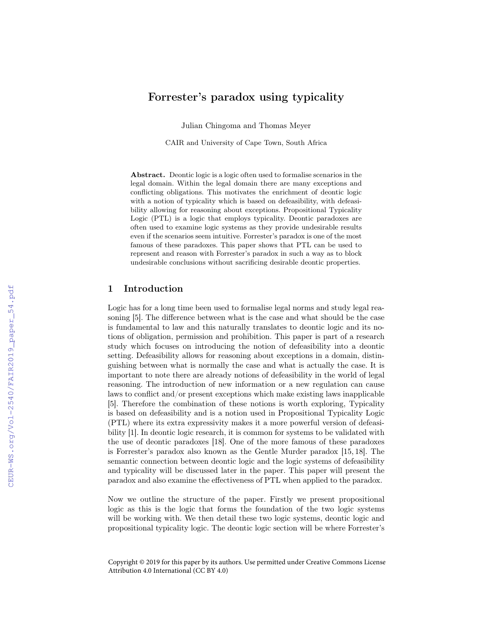# Forrester's paradox using typicality

Julian Chingoma and Thomas Meyer

CAIR and University of Cape Town, South Africa

Abstract. Deontic logic is a logic often used to formalise scenarios in the legal domain. Within the legal domain there are many exceptions and conflicting obligations. This motivates the enrichment of deontic logic with a notion of typicality which is based on defeasibility, with defeasibility allowing for reasoning about exceptions. Propositional Typicality Logic (PTL) is a logic that employs typicality. Deontic paradoxes are often used to examine logic systems as they provide undesirable results even if the scenarios seem intuitive. Forrester's paradox is one of the most famous of these paradoxes. This paper shows that PTL can be used to represent and reason with Forrester's paradox in such a way as to block undesirable conclusions without sacrificing desirable deontic properties.

## 1 Introduction

Logic has for a long time been used to formalise legal norms and study legal reasoning [5]. The difference between what is the case and what should be the case is fundamental to law and this naturally translates to deontic logic and its notions of obligation, permission and prohibition. This paper is part of a research study which focuses on introducing the notion of defeasibility into a deontic setting. Defeasibility allows for reasoning about exceptions in a domain, distinguishing between what is normally the case and what is actually the case. It is important to note there are already notions of defeasibility in the world of legal reasoning. The introduction of new information or a new regulation can cause laws to conflict and/or present exceptions which make existing laws inapplicable [5]. Therefore the combination of these notions is worth exploring, Typicality is based on defeasibility and is a notion used in Propositional Typicality Logic (PTL) where its extra expressivity makes it a more powerful version of defeasibility [1]. In deontic logic research, it is common for systems to be validated with the use of deontic paradoxes [18]. One of the more famous of these paradoxes is Forrester's paradox also known as the Gentle Murder paradox [15, 18]. The semantic connection between deontic logic and the logic systems of defeasibility and typicality will be discussed later in the paper. This paper will present the paradox and also examine the effectiveness of PTL when applied to the paradox.

Now we outline the structure of the paper. Firstly we present propositional logic as this is the logic that forms the foundation of the two logic systems will be working with. We then detail these two logic systems, deontic logic and propositional typicality logic. The deontic logic section will be where Forrester's

Copyright © 2019 for this paper by its authors. Use permitted under Creative Commons License Attribution 4.0 International (CC BY 4.0)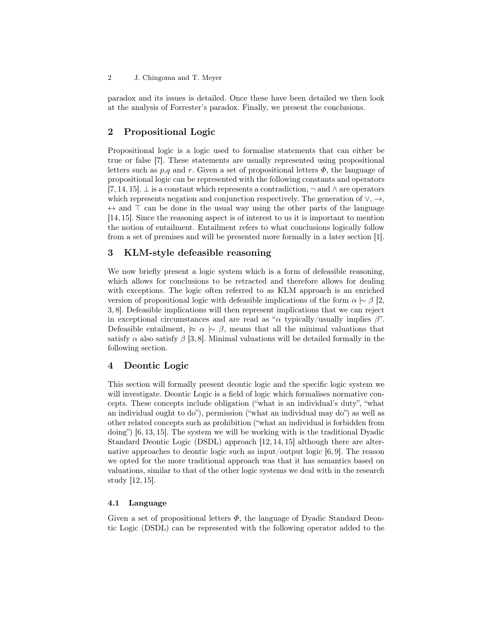paradox and its issues is detailed. Once these have been detailed we then look at the analysis of Forrester's paradox. Finally, we present the conclusions.

# 2 Propositional Logic

Propositional logic is a logic used to formalise statements that can either be true or false [7]. These statements are usually represented using propositional letters such as  $p,q$  and r. Given a set of propositional letters  $\Phi$ , the language of propositional logic can be represented with the following constants and operators [7, 14, 15].  $\perp$  is a constant which represents a contradiction,  $\neg$  and  $\wedge$  are operators which represents negation and conjunction respectively. The generation of  $\vee, \rightarrow,$  $\leftrightarrow$  and  $\top$  can be done in the usual way using the other parts of the language [14, 15]. Since the reasoning aspect is of interest to us it is important to mention the notion of entailment. Entailment refers to what conclusions logically follow from a set of premises and will be presented more formally in a later section [1].

# 3 KLM-style defeasible reasoning

We now briefly present a logic system which is a form of defeasible reasoning, which allows for conclusions to be retracted and therefore allows for dealing with exceptions. The logic often referred to as KLM approach is an enriched version of propositional logic with defeasible implications of the form  $\alpha \sim \beta$  [2, 3, 8]. Defeasible implications will then represent implications that we can reject in exceptional circumstances and are read as " $\alpha$  typically/usually implies  $\beta$ ". Defeasible entailment,  $\approx \alpha \sim \beta$ , means that all the minimal valuations that satisfy  $\alpha$  also satisfy  $\beta$  [3, 8]. Minimal valuations will be detailed formally in the following section.

# 4 Deontic Logic

This section will formally present deontic logic and the specific logic system we will investigate. Deontic Logic is a field of logic which formalises normative concepts. These concepts include obligation ("what is an individual's duty", "what an individual ought to do"), permission ("what an individual may do") as well as other related concepts such as prohibition ("what an individual is forbidden from doing") [6, 13, 15]. The system we will be working with is the traditional Dyadic Standard Deontic Logic (DSDL) approach [12, 14, 15] although there are alternative approaches to deontic logic such as input/output logic  $[6, 9]$ . The reason we opted for the more traditional approach was that it has semantics based on valuations, similar to that of the other logic systems we deal with in the research study [12, 15].

### 4.1 Language

Given a set of propositional letters  $\Phi$ , the language of Dyadic Standard Deontic Logic (DSDL) can be represented with the following operator added to the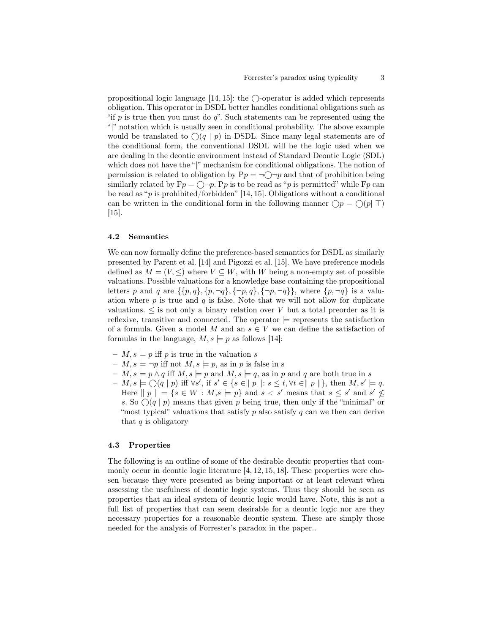propositional logic language  $[14, 15]$ : the  $\bigcirc$ -operator is added which represents obligation. This operator in DSDL better handles conditional obligations such as "if  $p$  is true then you must do  $q$ ". Such statements can be represented using the "|" notation which is usually seen in conditional probability. The above example would be translated to  $\bigcirc(q \mid p)$  in DSDL. Since many legal statements are of the conditional form, the conventional DSDL will be the logic used when we are dealing in the deontic environment instead of Standard Deontic Logic (SDL) which does not have the "|" mechanism for conditional obligations. The notion of permission is related to obligation by  $Pp = \neg \bigcirc \neg p$  and that of prohibition being similarly related by  $Fp = \bigcirc \neg p$ . Pp is to be read as "p is permitted" while  $Fp$  can be read as " $p$  is prohibited/forbidden" [14, 15]. Obligations without a conditional can be written in the conditional form in the following manner  $\bigcap p = \bigcap (p \mid \top)$ [15].

### 4.2 Semantics

We can now formally define the preference-based semantics for DSDL as similarly presented by Parent et al. [14] and Pigozzi et al. [15]. We have preference models defined as  $M = (V, \leq)$  where  $V \subseteq W$ , with W being a non-empty set of possible valuations. Possible valuations for a knowledge base containing the propositional letters p and q are  $\{\{p, q\}, \{p, \neg q\}, \{\neg p, q\}, \{\neg p, \neg q\}\}\,$ , where  $\{p, \neg q\}$  is a valuation where  $p$  is true and  $q$  is false. Note that we will not allow for duplicate valuations.  $\leq$  is not only a binary relation over V but a total preorder as it is reflexive, transitive and connected. The operator  $\models$  represents the satisfaction of a formula. Given a model M and an  $s \in V$  we can define the satisfaction of formulas in the language,  $M, s \models p$  as follows [14]:

- $M, s \models p$  iff p is true in the valuation s
- $M, s \models \neg p$  iff not  $M, s \models p$ , as in p is false in s
- $M$ ,  $s \models p \land q$  iff  $M$ ,  $s \models p$  and  $M$ ,  $s \models q$ , as in p and q are both true in s
- $M$ ,  $s \models \bigcirc(q \mid p)$  iff  $\forall s'$ , if  $s' \in \{s \in || p \parallel : s \leq t, \forall t \in || p \parallel \},\$  then  $M$ ,  $s' \models q$ . Here  $||p|| = {s \in W : M, s \models p}$  and  $s < s'$  means that  $s \leq s'$  and  $s' \nleq$ s. So  $\bigcirc$  (q | p) means that given p being true, then only if the "minimal" or "most typical" valuations that satisfy p also satisfy q can we then can derive that  $q$  is obligatory

#### 4.3 Properties

The following is an outline of some of the desirable deontic properties that commonly occur in deontic logic literature  $[4, 12, 15, 18]$ . These properties were chosen because they were presented as being important or at least relevant when assessing the usefulness of deontic logic systems. Thus they should be seen as properties that an ideal system of deontic logic would have. Note, this is not a full list of properties that can seem desirable for a deontic logic nor are they necessary properties for a reasonable deontic system. These are simply those needed for the analysis of Forrester's paradox in the paper..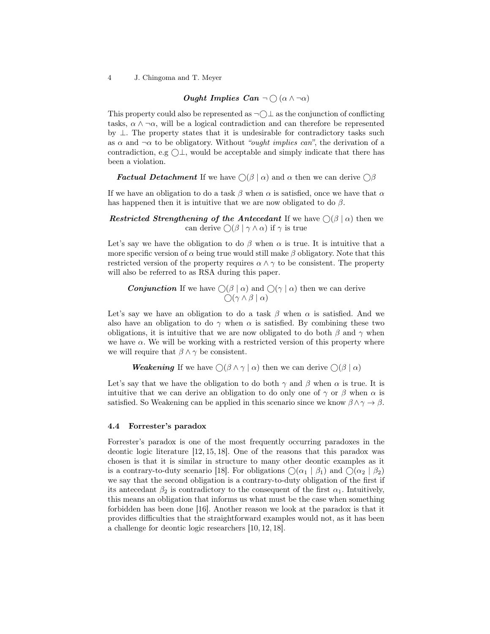### Ought Implies Can  $\neg \bigcirc (\alpha \wedge \neg \alpha)$

This property could also be represented as  $\neg$   $\Box$  as the conjunction of conflicting tasks,  $\alpha \wedge \neg \alpha$ , will be a logical contradiction and can therefore be represented by  $\perp$ . The property states that it is undesirable for contradictory tasks such as  $\alpha$  and  $\neg \alpha$  to be obligatory. Without "*ought implies can*", the derivation of a contradiction, e.g  $\bigcirc \bot$ , would be acceptable and simply indicate that there has been a violation.

**Factual Detachment** If we have  $\bigcap (\beta \mid \alpha)$  and  $\alpha$  then we can derive  $\bigcap \beta$ 

If we have an obligation to do a task  $\beta$  when  $\alpha$  is satisfied, once we have that  $\alpha$ has happened then it is intuitive that we are now obligated to do  $\beta$ .

Restricted Strengthening of the Antecedant If we have  $\bigcap (\beta \mid \alpha)$  then we can derive  $\bigcap (\beta \mid \gamma \wedge \alpha)$  if  $\gamma$  is true

Let's say we have the obligation to do  $\beta$  when  $\alpha$  is true. It is intuitive that a more specific version of  $\alpha$  being true would still make  $\beta$  obligatory. Note that this restricted version of the property requires  $\alpha \wedge \gamma$  to be consistent. The property will also be referred to as RSA during this paper.

**Conjunction** If we have  $\bigcirc$  ( $\beta \mid \alpha$ ) and  $\bigcirc$  ( $\gamma \mid \alpha$ ) then we can derive  $\bigcap (\gamma \wedge \beta \mid \alpha)$ 

Let's say we have an obligation to do a task  $\beta$  when  $\alpha$  is satisfied. And we also have an obligation to do  $\gamma$  when  $\alpha$  is satisfied. By combining these two obligations, it is intuitive that we are now obligated to do both  $\beta$  and  $\gamma$  when we have  $\alpha$ . We will be working with a restricted version of this property where we will require that  $\beta \wedge \gamma$  be consistent.

```
Weakening If we have \bigcirc (\beta \wedge \gamma \mid \alpha) then we can derive \bigcirc (\beta \mid \alpha)
```
Let's say that we have the obligation to do both  $\gamma$  and  $\beta$  when  $\alpha$  is true. It is intuitive that we can derive an obligation to do only one of  $\gamma$  or  $\beta$  when  $\alpha$  is satisfied. So Weakening can be applied in this scenario since we know  $\beta \wedge \gamma \rightarrow \beta$ .

#### 4.4 Forrester's paradox

Forrester's paradox is one of the most frequently occurring paradoxes in the deontic logic literature [12, 15, 18]. One of the reasons that this paradox was chosen is that it is similar in structure to many other deontic examples as it is a contrary-to-duty scenario [18]. For obligations  $\bigcap (\alpha_1 \mid \beta_1)$  and  $\bigcap (\alpha_2 \mid \beta_2)$ we say that the second obligation is a contrary-to-duty obligation of the first if its antecedant  $\beta_2$  is contradictory to the consequent of the first  $\alpha_1$ . Intuitively, this means an obligation that informs us what must be the case when something forbidden has been done [16]. Another reason we look at the paradox is that it provides difficulties that the straightforward examples would not, as it has been a challenge for deontic logic researchers [10, 12, 18].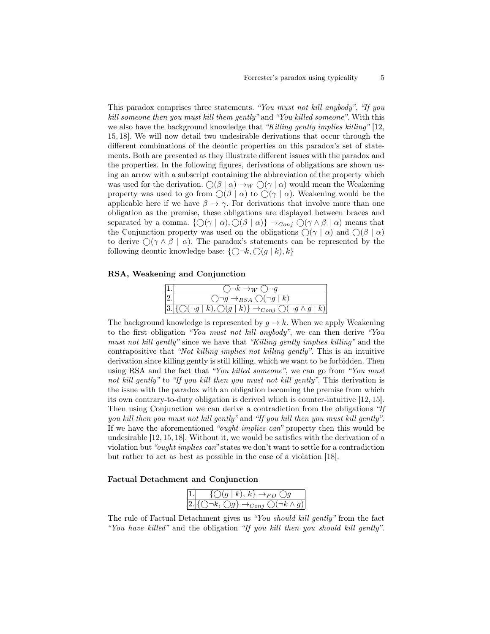This paradox comprises three statements. "You must not kill anybody", "If you kill someone then you must kill them gently" and "You killed someone". With this we also have the background knowledge that "Killing gently implies killing" [12, 15, 18]. We will now detail two undesirable derivations that occur through the different combinations of the deontic properties on this paradox's set of statements. Both are presented as they illustrate different issues with the paradox and the properties. In the following figures, derivations of obligations are shown using an arrow with a subscript containing the abbreviation of the property which was used for the derivation.  $\bigcirc (\beta \mid \alpha) \rightarrow_W \bigcirc (\gamma \mid \alpha)$  would mean the Weakening property was used to go from  $\bigcirc$   $(\beta | \alpha)$  to  $\bigcirc$   $(\gamma | \alpha)$ . Weakening would be the applicable here if we have  $\beta \to \gamma$ . For derivations that involve more than one obligation as the premise, these obligations are displayed between braces and separated by a comma.  $\{\bigcirc(\gamma \mid \alpha), \bigcirc(\beta \mid \alpha)\}\rightarrow_{Conj}\bigcirc(\gamma \wedge \beta \mid \alpha)$  means that the Conjunction property was used on the obligations  $\bigcirc(\gamma \mid \alpha)$  and  $\bigcirc(\beta \mid \alpha)$ to derive  $\bigcap (\gamma \wedge \beta \mid \alpha)$ . The paradox's statements can be represented by the following deontic knowledge base:  $\{\bigcap \neg k, \bigcap (g \mid k), k\}$ 

#### RSA, Weakening and Conjunction

| $\vert 1.$       | $\bigcirc \neg k \rightarrow_W \bigcirc \neg g$                                                            |
|------------------|------------------------------------------------------------------------------------------------------------|
| $\overline{2}$ . | $\bigcirc \neg g \rightarrow_{RSA} \bigcirc (\neg g \mid k)$                                               |
|                  | $3.\left\{\bigcirc(\neg g\mid k),\bigcirc(g\mid k)\right\}\rightarrow_{Conj}\bigcirc(\neg g\land g\mid k)$ |

The background knowledge is represented by  $q \to k$ . When we apply Weakening to the first obligation "You must not kill anybody", we can then derive "You must not kill gently" since we have that "Killing gently implies killing" and the contrapositive that "Not killing implies not killing gently". This is an intuitive derivation since killing gently is still killing, which we want to be forbidden. Then using RSA and the fact that "You killed someone", we can go from "You must not kill gently" to "If you kill then you must not kill gently". This derivation is the issue with the paradox with an obligation becoming the premise from which its own contrary-to-duty obligation is derived which is counter-intuitive [12, 15]. Then using Conjunction we can derive a contradiction from the obligations "If you kill then you must not kill gently" and "If you kill then you must kill gently". If we have the aforementioned "ought implies can" property then this would be undesirable [12, 15, 18]. Without it, we would be satisfies with the derivation of a violation but "ought implies can" states we don't want to settle for a contradiction but rather to act as best as possible in the case of a violation [18].

### Factual Detachment and Conjunction

| 1. $\{\bigcirc(g k), k\} \rightarrow_{FD} \bigcirc g$                                  |
|----------------------------------------------------------------------------------------|
| $2.\left\{\bigcirc\neg k,\bigcirc g\right\}\rightarrow_{Conj}\bigcirc(\neg k\wedge g)$ |

The rule of Factual Detachment gives us "You should kill gently" from the fact "You have killed" and the obligation "If you kill then you should kill gently".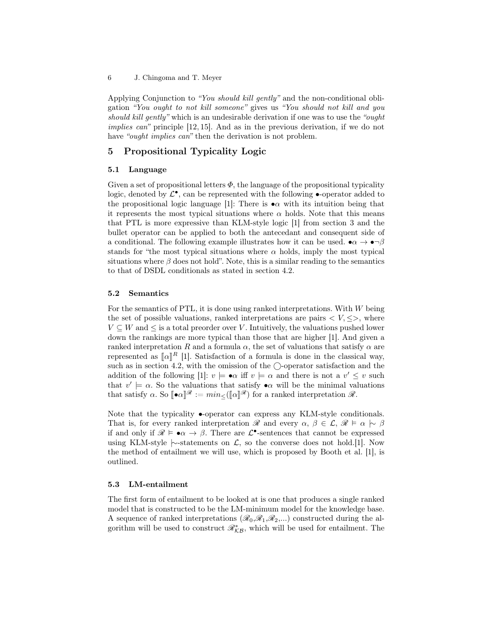Applying Conjunction to "You should kill gently" and the non-conditional obligation "You ought to not kill someone" gives us "You should not kill and you should kill gently" which is an undesirable derivation if one was to use the "ought implies can" principle [12, 15]. And as in the previous derivation, if we do not have "*ought implies can*" then the derivation is not problem.

## 5 Propositional Typicality Logic

### 5.1 Language

Given a set of propositional letters  $\Phi$ , the language of the propositional typicality logic, denoted by  $\mathcal{L}^{\bullet}$ , can be represented with the following  $\bullet$ -operator added to the propositional logic language [1]: There is  $\bullet \alpha$  with its intuition being that it represents the most typical situations where  $\alpha$  holds. Note that this means that PTL is more expressive than KLM-style logic [1] from section 3 and the bullet operator can be applied to both the antecedant and consequent side of a conditional. The following example illustrates how it can be used.  $\bullet \alpha \to \bullet \neg \beta$ stands for "the most typical situations where  $\alpha$  holds, imply the most typical situations where  $\beta$  does not hold". Note, this is a similar reading to the semantics to that of DSDL conditionals as stated in section 4.2.

#### 5.2 Semantics

For the semantics of PTL, it is done using ranked interpretations. With W being the set of possible valuations, ranked interpretations are pairs  $\langle V, \langle \rangle$ , where  $V \subset W$  and  $\leq$  is a total preorder over V. Intuitively, the valuations pushed lower down the rankings are more typical than those that are higher [1]. And given a ranked interpretation R and a formula  $\alpha$ , the set of valuations that satisfy  $\alpha$  are represented as  $\llbracket \alpha \rrbracket^R$  [1]. Satisfaction of a formula is done in the classical way, such as in section 4.2, with the omission of the  $\bigcirc$ -operator satisfaction and the addition of the following  $[1]: v \models \bullet \alpha$  iff  $v \models \alpha$  and there is not a  $v' \leq v$  such that  $v' \models \alpha$ . So the valuations that satisfy  $\bullet \alpha$  will be the minimal valuations that satisfy  $\alpha$ . So  $\llbracket \bullet \alpha \rrbracket^{\mathscr{R}} := min \leq (\llbracket \alpha \rrbracket^{\mathscr{R}})$  for a ranked interpretation  $\mathscr{R}$ .

Note that the typicality •-operator can express any KLM-style conditionals. That is, for every ranked interpretation R and every  $\alpha, \beta \in \mathcal{L}, \mathcal{R} \models \alpha \succ \beta$ if and only if  $\mathscr{R} \models \bullet \alpha \to \beta$ . There are  $\mathcal{L}^{\bullet}$ -sentences that cannot be expressed using KLM-style  $\sim$ -statements on  $\mathcal{L}$ , so the converse does not hold.[1]. Now the method of entailment we will use, which is proposed by Booth et al. [1], is outlined.

### 5.3 LM-entailment

The first form of entailment to be looked at is one that produces a single ranked model that is constructed to be the LM-minimum model for the knowledge base. A sequence of ranked interpretations  $(\mathcal{R}_0, \mathcal{R}_1, \mathcal{R}_2,...)$  constructed during the algorithm will be used to construct  $\mathcal{R}_{\mathcal{KB}}^{*}$ , which will be used for entailment. The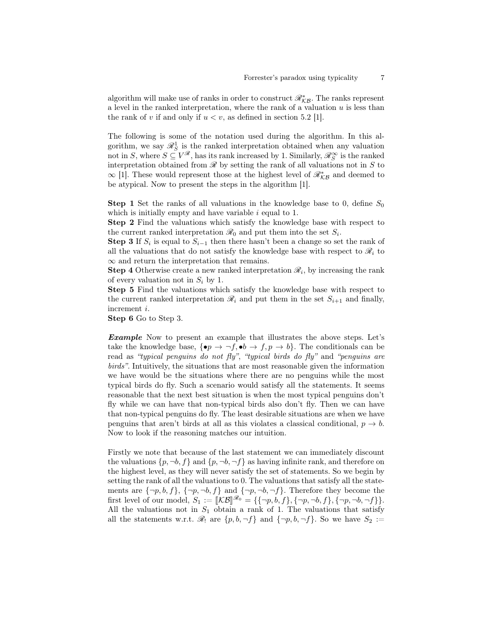algorithm will make use of ranks in order to construct  $\mathscr{R}_{\mathcal{KB}}^{*}.$  The ranks represent a level in the ranked interpretation, where the rank of a valuation  $u$  is less than the rank of v if and only if  $u < v$ , as defined in section 5.2 [1].

The following is some of the notation used during the algorithm. In this algorithm, we say  $\mathcal{R}_S^1$  is the ranked interpretation obtained when any valuation not in S, where  $S \subseteq V^{\mathscr{R}}$ , has its rank increased by 1. Similarly,  $\mathscr{R}_{S}^{\infty}$  is the ranked interpretation obtained from  $\mathscr R$  by setting the rank of all valuations not in  $S$  to  $\infty$  [1]. These would represent those at the highest level of  $\mathcal{R}^*_{\mathcal{KB}}$  and deemed to be atypical. Now to present the steps in the algorithm [1].

**Step 1** Set the ranks of all valuations in the knowledge base to 0, define  $S_0$ which is initially empty and have variable  $i$  equal to 1.

Step 2 Find the valuations which satisfy the knowledge base with respect to the current ranked interpretation  $\mathcal{R}_0$  and put them into the set  $S_i$ .

**Step 3** If  $S_i$  is equal to  $S_{i-1}$  then there hasn't been a change so set the rank of all the valuations that do not satisfy the knowledge base with respect to  $\mathcal{R}_i$  to  $\infty$  and return the interpretation that remains.

**Step 4** Otherwise create a new ranked interpretation  $\mathcal{R}_i$ , by increasing the rank of every valuation not in  $S_i$  by 1.

Step 5 Find the valuations which satisfy the knowledge base with respect to the current ranked interpretation  $\mathcal{R}_i$  and put them in the set  $S_{i+1}$  and finally, increment i.

Step 6 Go to Step 3.

Example Now to present an example that illustrates the above steps. Let's take the knowledge base,  $\{\bullet p \to \neg f, \bullet b \to f, p \to b\}$ . The conditionals can be read as "typical penguins do not fly", "typical birds do fly" and "penguins are birds". Intuitively, the situations that are most reasonable given the information we have would be the situations where there are no penguins while the most typical birds do fly. Such a scenario would satisfy all the statements. It seems reasonable that the next best situation is when the most typical penguins don't fly while we can have that non-typical birds also don't fly. Then we can have that non-typical penguins do fly. The least desirable situations are when we have penguins that aren't birds at all as this violates a classical conditional,  $p \to b$ . Now to look if the reasoning matches our intuition.

Firstly we note that because of the last statement we can immediately discount the valuations  $\{p, \neg b, f\}$  and  $\{p, \neg b, \neg f\}$  as having infinite rank, and therefore on the highest level, as they will never satisfy the set of statements. So we begin by setting the rank of all the valuations to 0. The valuations that satisfy all the statements are  $\{\neg p, b, f\}$ ,  $\{\neg p, \neg b, f\}$  and  $\{\neg p, \neg b, \neg f\}$ . Therefore they become the first level of our model,  $S_1 := [\mathcal{KB}]\mathcal{A}_0 = {\{\neg p, b, f\}, \{\neg p, \neg b, f\}, \{\neg p, \neg b, \neg f\} \}.$ All the valuations not in  $S_1$  obtain a rank of 1. The valuations that satisfy all the statements w.r.t.  $\mathcal{R}_1$  are  $\{p, b, \neg f\}$  and  $\{\neg p, b, \neg f\}$ . So we have  $S_2 :=$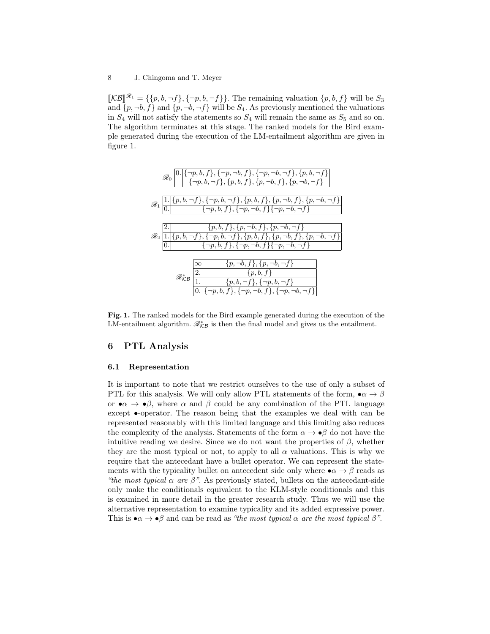$[\![\mathcal{KB}]\!]^{\mathscr{R}_1} = \{ \{p, b, \neg f\}, \{\neg p, b, \neg f\} \}.$  The remaining valuation  $\{p, b, f\}$  will be  $S_3$ <br>and  $\{p, \neg b, f\}$  and  $\{p, \neg b, \neg f\}$  will be  $S_4$ . As provisibly mentioned the valuations and  $\{p, \neg b, f\}$  and  $\{p, \neg b, \neg f\}$  will be  $S_4$ . As previously mentioned the valuations in  $S_4$  will not satisfy the statements so  $S_4$  will remain the same as  $S_5$  and so on. The algorithm terminates at this stage. The ranked models for the Bird example generated during the execution of the LM-entailment algorithm are given in figure 1.



Fig. 1. The ranked models for the Bird example generated during the execution of the LM-entailment algorithm.  $\mathcal{R}_{\mathcal{KB}}^*$  is then the final model and gives us the entailment.

### 6 PTL Analysis

### 6.1 Representation

It is important to note that we restrict ourselves to the use of only a subset of PTL for this analysis. We will only allow PTL statements of the form,  $\bullet \alpha \to \beta$ or  $\bullet \alpha \to \bullet \beta$ , where  $\alpha$  and  $\beta$  could be any combination of the PTL language except •-operator. The reason being that the examples we deal with can be represented reasonably with this limited language and this limiting also reduces the complexity of the analysis. Statements of the form  $\alpha \to \bullet \beta$  do not have the intuitive reading we desire. Since we do not want the properties of  $\beta$ , whether they are the most typical or not, to apply to all  $\alpha$  valuations. This is why we require that the antecedant have a bullet operator. We can represent the statements with the typicality bullet on antecedent side only where  $\bullet \alpha \rightarrow \beta$  reads as "the most typical  $\alpha$  are  $\beta$ ". As previously stated, bullets on the antecedant-side only make the conditionals equivalent to the KLM-style conditionals and this is examined in more detail in the greater research study. Thus we will use the alternative representation to examine typicality and its added expressive power. This is  $\bullet \alpha \to \bullet \beta$  and can be read as "the most typical  $\alpha$  are the most typical  $\beta$ ".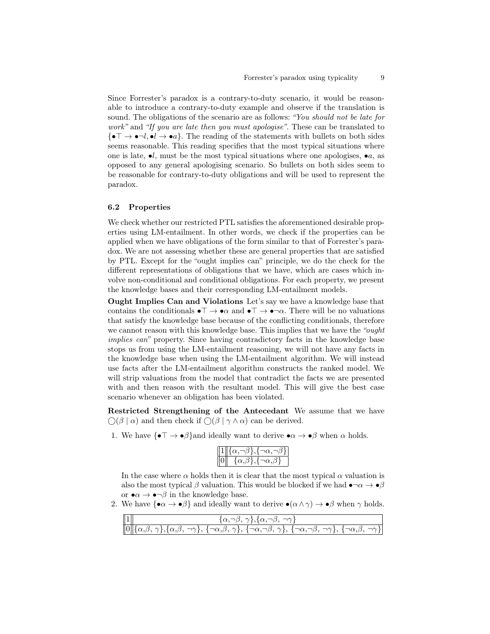Since Forrester's paradox is a contrary-to-duty scenario, it would be reasonable to introduce a contrary-to-duty example and observe if the translation is sound. The obligations of the scenario are as follows: "You should not be late for work" and "If you are late then you must apologise". These can be translated to  ${\{\bullet \top \to \bullet \neg l, \bullet l \to \bullet a\}}$ . The reading of the statements with bullets on both sides seems reasonable. This reading specifies that the most typical situations where one is late,  $\bullet l$ , must be the most typical situations where one apologises,  $\bullet a$ , as opposed to any general apologising scenario. So bullets on both sides seem to be reasonable for contrary-to-duty obligations and will be used to represent the paradox.

### 6.2 Properties

We check whether our restricted PTL satisfies the aforementioned desirable properties using LM-entailment. In other words, we check if the properties can be applied when we have obligations of the form similar to that of Forrester's paradox. We are not assessing whether these are general properties that are satisfied by PTL. Except for the "ought implies can" principle, we do the check for the different representations of obligations that we have, which are cases which involve non-conditional and conditional obligations. For each property, we present the knowledge bases and their corresponding LM-entailment models.

Ought Implies Can and Violations Let's say we have a knowledge base that contains the conditionals  $\bullet \top \to \bullet \alpha$  and  $\bullet \top \to \bullet \neg \alpha$ . There will be no valuations that satisfy the knowledge base because of the conflicting conditionals, therefore we cannot reason with this knowledge base. This implies that we have the "ought implies can" property. Since having contradictory facts in the knowledge base stops us from using the LM-entailment reasoning, we will not have any facts in the knowledge base when using the LM-entailment algorithm. We will instead use facts after the LM-entailment algorithm constructs the ranked model. We will strip valuations from the model that contradict the facts we are presented with and then reason with the resultant model. This will give the best case scenario whenever an obligation has been violated.

Restricted Strengthening of the Antecedant We assume that we have  $\bigcirc$ ( $\beta \mid \alpha$ ) and then check if  $\bigcirc$ ( $\beta \mid \gamma \wedge \alpha$ ) can be derived.

1. We have  $\{\bullet \top \to \bullet \beta\}$  and ideally want to derive  $\bullet \alpha \to \bullet \beta$  when  $\alpha$  holds.

| $  1  \overline{\{\alpha,\neg\beta\},\{\neg\alpha,\neg\beta\}}$ |
|-----------------------------------------------------------------|
| $\ 0\  \{\alpha,\beta\},\{\neg\alpha,\beta\}$                   |

In the case where  $\alpha$  holds then it is clear that the most typical  $\alpha$  valuation is also the most typical  $\beta$  valuation. This would be blocked if we had  $\bullet \neg \alpha \to \bullet \beta$ or  $\bullet \alpha \to \bullet \neg \beta$  in the knowledge base.

2. We have  ${\{\bullet\alpha \to \bullet\beta\}}$  and ideally want to derive  ${\bullet}(\alpha \wedge \gamma) \to {\bullet}\beta$  when  $\gamma$  holds.

| $\frac{1}{\left[0\right]\left\{\alpha,\beta,\,\gamma\right\},\left\{\alpha,\beta,\,\gamma\right\},\left\{\alpha,\beta,\,\gamma\right\},\left\{\alpha,\beta,\,\gamma\right\},\left\{\alpha,\beta,\,\gamma\right\},\left\{\alpha,\beta,\,\gamma\right\},\left\{\alpha,\beta,\,\gamma\right\},\left\{\alpha,\beta,\,\gamma\right\},\left\{\alpha,\beta,\,\gamma\right\},\left\{\alpha,\beta,\,\gamma\right\}}$ |
|-------------------------------------------------------------------------------------------------------------------------------------------------------------------------------------------------------------------------------------------------------------------------------------------------------------------------------------------------------------------------------------------------------------|
|                                                                                                                                                                                                                                                                                                                                                                                                             |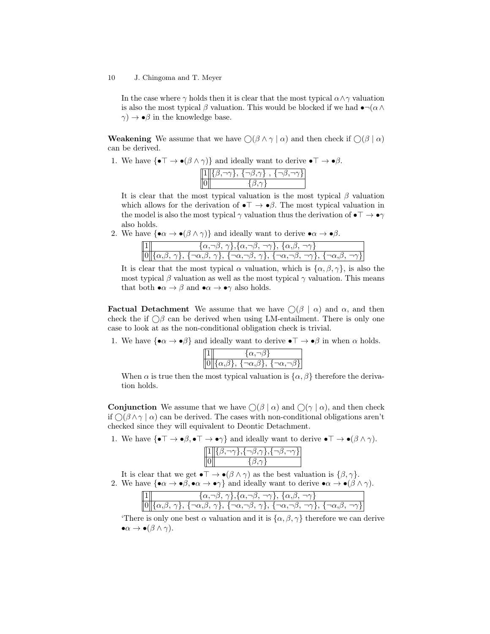In the case where  $\gamma$  holds then it is clear that the most typical  $\alpha \wedge \gamma$  valuation is also the most typical  $\beta$  valuation. This would be blocked if we had  $\bullet \neg(\alpha \wedge$  $\gamma$ )  $\rightarrow \bullet \beta$  in the knowledge base.

**Weakening** We assume that we have  $\bigcap (\beta \wedge \gamma \mid \alpha)$  and then check if  $\bigcap (\beta \mid \alpha)$ can be derived.

1. We have  $\{\bullet \top \to \bullet (\beta \wedge \gamma)\}\$  and ideally want to derive  $\bullet \top \to \bullet \beta$ .

| ト、イーク、ツトー<br>≀ ⁄ר—י |  |
|---------------------|--|
|                     |  |

It is clear that the most typical valuation is the most typical  $\beta$  valuation which allows for the derivation of  $\bullet \top \to \bullet \beta$ . The most typical valuation in the model is also the most typical  $\gamma$  valuation thus the derivation of  $\bullet \top \to \bullet \gamma$ also holds.

2. We have  $\{\bullet \alpha \to \bullet (\beta \wedge \gamma)\}\$  and ideally want to derive  $\bullet \alpha \to \bullet \beta$ .

| $\{\alpha,\neg\beta,\gamma\},\{\alpha,\neg\beta,\neg\gamma\},\{\alpha,\beta,\neg\gamma\}$                                                                                           |
|-------------------------------------------------------------------------------------------------------------------------------------------------------------------------------------|
| $[0] \{\alpha, \beta, \gamma\}, \{\neg \alpha, \beta, \gamma\}, \{\neg \alpha, \neg \beta, \gamma\}, \{\neg \alpha, \neg \beta, \neg \gamma\}, \{\neg \alpha, \beta, \neg \gamma\}$ |

It is clear that the most typical  $\alpha$  valuation, which is  $\{\alpha, \beta, \gamma\}$ , is also the most typical  $\beta$  valuation as well as the most typical  $\gamma$  valuation. This means that both  $\bullet \alpha \to \beta$  and  $\bullet \alpha \to \bullet \gamma$  also holds.

**Factual Detachment** We assume that we have  $\bigcap (\beta \mid \alpha)$  and  $\alpha$ , and then check the if  $\bigcirc$  can be derived when using LM-entailment. There is only one case to look at as the non-conditional obligation check is trivial.

1. We have  $\{\bullet \alpha \to \bullet \beta\}$  and ideally want to derive  $\bullet \top \to \bullet \beta$  in when  $\alpha$  holds.

| 11 |                                                                          |
|----|--------------------------------------------------------------------------|
|    | $\ 0\  \{\alpha, \beta\}, \, \{\neg \alpha, \beta\}, \, \{\neg \alpha\}$ |

When  $\alpha$  is true then the most typical valuation is  $\{\alpha, \beta\}$  therefore the derivation holds.

**Conjunction** We assume that we have  $\bigcap (\beta | \alpha)$  and  $\bigcap (\gamma | \alpha)$ , and then check if  $\bigcap (\beta \wedge \gamma \mid \alpha)$  can be derived. The cases with non-conditional obligations aren't checked since they will equivalent to Deontic Detachment.

1. We have  $\{\bullet \top \to \bullet \beta, \bullet \top \to \bullet \gamma\}$  and ideally want to derive  $\bullet \top \to \bullet (\beta \wedge \gamma)$ .

| 0, קר 1, ז γר,<br>いくつか |
|------------------------|
|                        |

It is clear that we get  $\bullet \top \to \bullet (\beta \wedge \gamma)$  as the best valuation is  $\{\beta, \gamma\}.$ 2. We have  $\{\bullet \alpha \to \bullet \beta, \bullet \alpha \to \bullet \gamma\}$  and ideally want to derive  $\bullet \alpha \to \bullet (\beta \wedge \gamma)$ .

| $\ 1\ $ | $\{\alpha,\neg\beta,\gamma\},\{\alpha,\neg\beta,\neg\gamma\},\{\alpha,\beta,\neg\gamma\}$                                                                        |  |  |
|---------|------------------------------------------------------------------------------------------------------------------------------------------------------------------|--|--|
|         | $[0]$ $\{\alpha,\beta,\gamma\},\{\neg\alpha,\beta,\gamma\},\{\neg\alpha,\neg\beta,\gamma\},\{\neg\alpha,\neg\beta,\neg\gamma\},\{\neg\alpha,\beta,\neg\gamma\}]$ |  |  |

'There is only one best  $\alpha$  valuation and it is  $\{\alpha, \beta, \gamma\}$  therefore we can derive  $\bullet \alpha \to \bullet (\beta \wedge \gamma).$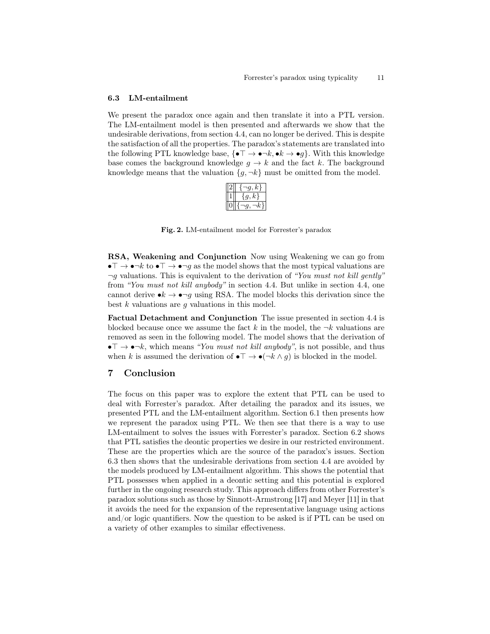### 6.3 LM-entailment

We present the paradox once again and then translate it into a PTL version. The LM-entailment model is then presented and afterwards we show that the undesirable derivations, from section 4.4, can no longer be derived. This is despite the satisfaction of all the properties. The paradox's statements are translated into the following PTL knowledge base,  $\{\bullet \top \to \bullet \neg k, \bullet k \to \bullet g\}$ . With this knowledge base comes the background knowledge  $g \to k$  and the fact k. The background knowledge means that the valuation  $\{g, \neg k\}$  must be omitted from the model.

|  | ĸ |
|--|---|
|  | r |
|  |   |

Fig. 2. LM-entailment model for Forrester's paradox

RSA, Weakening and Conjunction Now using Weakening we can go from  $\bullet \top \to \bullet \neg k$  to  $\bullet \top \to \bullet \neg q$  as the model shows that the most typical valuations are  $\neg g$  valuations. This is equivalent to the derivation of "You must not kill gently" from "You must not kill anybody" in section 4.4. But unlike in section 4.4, one cannot derive  $\bullet k \to \bullet \neg g$  using RSA. The model blocks this derivation since the best  $k$  valuations are  $q$  valuations in this model.

Factual Detachment and Conjunction The issue presented in section 4.4 is blocked because once we assume the fact k in the model, the  $\neg k$  valuations are removed as seen in the following model. The model shows that the derivation of  $\bullet \top \to \bullet \neg k$ , which means "You must not kill anybody", is not possible, and thus when k is assumed the derivation of  $\bullet \top \to \bullet (\neg k \land g)$  is blocked in the model.

### 7 Conclusion

The focus on this paper was to explore the extent that PTL can be used to deal with Forrester's paradox. After detailing the paradox and its issues, we presented PTL and the LM-entailment algorithm. Section 6.1 then presents how we represent the paradox using PTL. We then see that there is a way to use LM-entailment to solves the issues with Forrester's paradox. Section 6.2 shows that PTL satisfies the deontic properties we desire in our restricted environment. These are the properties which are the source of the paradox's issues. Section 6.3 then shows that the undesirable derivations from section 4.4 are avoided by the models produced by LM-entailment algorithm. This shows the potential that PTL possesses when applied in a deontic setting and this potential is explored further in the ongoing research study. This approach differs from other Forrester's paradox solutions such as those by Sinnott-Armstrong [17] and Meyer [11] in that it avoids the need for the expansion of the representative language using actions and/or logic quantifiers. Now the question to be asked is if PTL can be used on a variety of other examples to similar effectiveness.